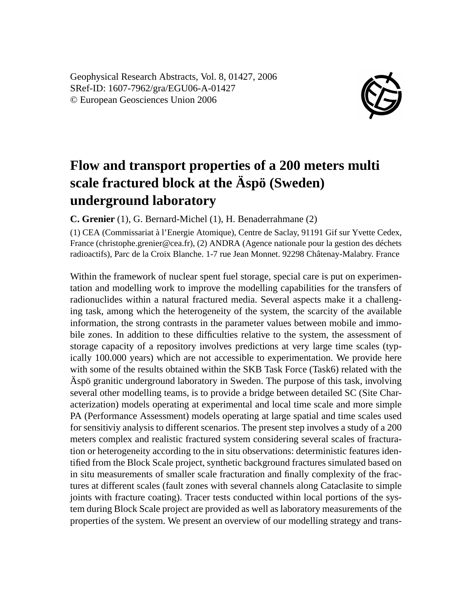Geophysical Research Abstracts, Vol. 8, 01427, 2006 SRef-ID: 1607-7962/gra/EGU06-A-01427 © European Geosciences Union 2006



## **Flow and transport properties of a 200 meters multi scale fractured block at the Äspö (Sweden) underground laboratory**

**C. Grenier** (1), G. Bernard-Michel (1), H. Benaderrahmane (2)

(1) CEA (Commissariat à l'Energie Atomique), Centre de Saclay, 91191 Gif sur Yvette Cedex, France (christophe.grenier@cea.fr), (2) ANDRA (Agence nationale pour la gestion des déchets radioactifs), Parc de la Croix Blanche. 1-7 rue Jean Monnet. 92298 Châtenay-Malabry. France

Within the framework of nuclear spent fuel storage, special care is put on experimentation and modelling work to improve the modelling capabilities for the transfers of radionuclides within a natural fractured media. Several aspects make it a challenging task, among which the heterogeneity of the system, the scarcity of the available information, the strong contrasts in the parameter values between mobile and immobile zones. In addition to these difficulties relative to the system, the assessment of storage capacity of a repository involves predictions at very large time scales (typically 100.000 years) which are not accessible to experimentation. We provide here with some of the results obtained within the SKB Task Force (Task6) related with the Äspö granitic underground laboratory in Sweden. The purpose of this task, involving several other modelling teams, is to provide a bridge between detailed SC (Site Characterization) models operating at experimental and local time scale and more simple PA (Performance Assessment) models operating at large spatial and time scales used for sensitiviy analysis to different scenarios. The present step involves a study of a 200 meters complex and realistic fractured system considering several scales of fracturation or heterogeneity according to the in situ observations: deterministic features identified from the Block Scale project, synthetic background fractures simulated based on in situ measurements of smaller scale fracturation and finally complexity of the fractures at different scales (fault zones with several channels along Cataclasite to simple joints with fracture coating). Tracer tests conducted within local portions of the system during Block Scale project are provided as well as laboratory measurements of the properties of the system. We present an overview of our modelling strategy and trans-